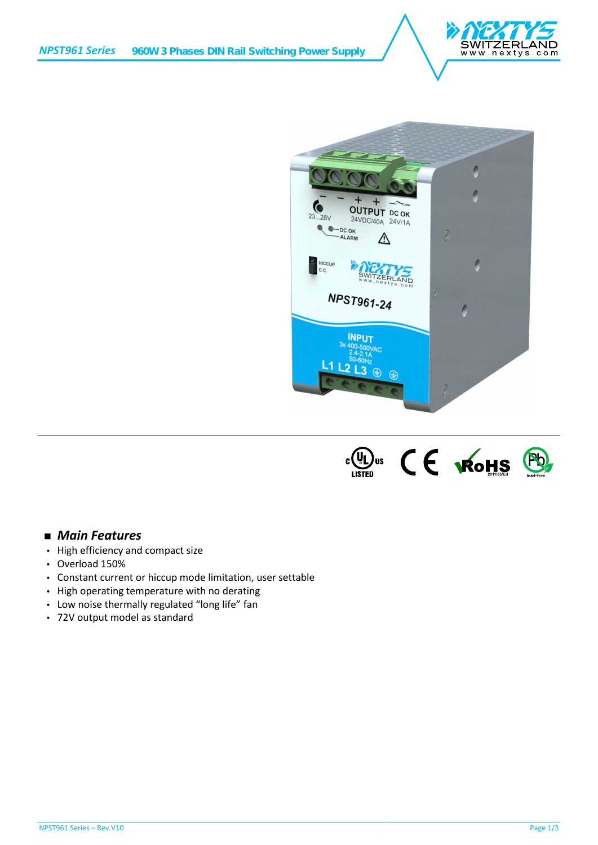





## *Main Features*

- High efficiency and compact size
- Overload 150%
- Constant current or hiccup mode limitation, user settable
- High operating temperature with no derating
- Low noise thermally regulated "long life" fan
- 72V output model as standard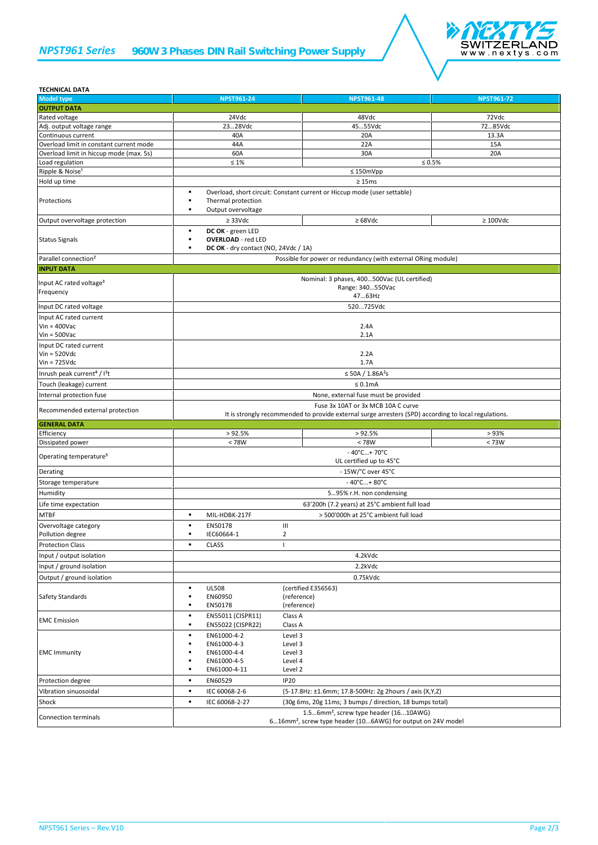## *NPST961 Series 960W 3 Phases DIN Rail Switching Power Supply*



| <b>TECHNICAL DATA</b>                               |                                                                                                                                            |                                                               |                   |  |
|-----------------------------------------------------|--------------------------------------------------------------------------------------------------------------------------------------------|---------------------------------------------------------------|-------------------|--|
| <b>Model type</b>                                   | <b>NPST961-24</b>                                                                                                                          | <b>NPST961-48</b>                                             | <b>NPST961-72</b> |  |
| <b>OUTPUT DATA</b>                                  |                                                                                                                                            |                                                               |                   |  |
| Rated voltage                                       | 24Vdc                                                                                                                                      | 48Vdc                                                         | 72Vdc             |  |
| Adj. output voltage range                           | 2328Vdc                                                                                                                                    | 4555Vdc                                                       | 7285Vdc           |  |
| Continuous current                                  | 40A                                                                                                                                        | 20A                                                           | 13.3A             |  |
| Overload limit in constant current mode             | 44A                                                                                                                                        | 22A                                                           | 15A               |  |
| Overload limit in hiccup mode (max. 5s)             | 60A                                                                                                                                        | 30A                                                           | 20A               |  |
| Load regulation                                     | $\leq 1\%$                                                                                                                                 |                                                               | $\leq 0.5\%$      |  |
| Ripple & Noise <sup>1</sup>                         |                                                                                                                                            | $\leq 150$ mVpp                                               |                   |  |
| Hold up time                                        |                                                                                                                                            | $\geq 15 \text{ms}$                                           |                   |  |
| Protections                                         | Overload, short circuit: Constant current or Hiccup mode (user settable)<br>٠<br>٠<br>Thermal protection<br>Output overvoltage             |                                                               |                   |  |
| Output overvoltage protection                       | $\geq$ 33Vdc                                                                                                                               | $\geq 68$ Vdc                                                 | $\geq 100$ Vdc    |  |
| <b>Status Signals</b>                               | DC OK - green LED<br>٠<br><b>OVERLOAD</b> - red LED<br>DC OK - dry contact (NO, 24Vdc / 1A)<br>٠                                           |                                                               |                   |  |
| Parallel connection <sup>2</sup>                    |                                                                                                                                            | Possible for power or redundancy (with external ORing module) |                   |  |
| <b>INPUT DATA</b>                                   |                                                                                                                                            |                                                               |                   |  |
|                                                     |                                                                                                                                            |                                                               |                   |  |
| Input AC rated voltage <sup>3</sup>                 | Nominal: 3 phases, 400500Vac (UL certified)<br>Range: 340550Vac                                                                            |                                                               |                   |  |
| Frequency                                           |                                                                                                                                            | 4763Hz                                                        |                   |  |
| Input DC rated voltage                              |                                                                                                                                            | 520725Vdc                                                     |                   |  |
|                                                     |                                                                                                                                            |                                                               |                   |  |
| Input AC rated current<br>$V$ in = 400 $V$ ac       |                                                                                                                                            |                                                               |                   |  |
| $Vin = 500$ Vac                                     | 2.4A<br>2.1A                                                                                                                               |                                                               |                   |  |
|                                                     |                                                                                                                                            |                                                               |                   |  |
| Input DC rated current<br>$Vin = 520Vdc$            |                                                                                                                                            | 2.2A                                                          |                   |  |
| $V$ in = 725 $V$ dc                                 |                                                                                                                                            | 1.7A                                                          |                   |  |
|                                                     |                                                                                                                                            |                                                               |                   |  |
| Inrush peak current <sup>4</sup> / I <sup>2</sup> t | ≤ 50A / $1.86A^2s$                                                                                                                         |                                                               |                   |  |
| Touch (leakage) current                             |                                                                                                                                            | $\leq 0.1$ mA                                                 |                   |  |
| Internal protection fuse                            | None, external fuse must be provided                                                                                                       |                                                               |                   |  |
| Recommended external protection                     | Fuse 3x 10AT or 3x MCB 10A C curve<br>It is strongly recommended to provide external surge arresters (SPD) according to local regulations. |                                                               |                   |  |
| <b>GENERAL DATA</b>                                 |                                                                                                                                            |                                                               |                   |  |
| Efficiency                                          | >92.5%                                                                                                                                     | > 92.5%                                                       | >93%              |  |
| Dissipated power                                    | < 78W                                                                                                                                      | < 78W                                                         | < 73W             |  |
| Operating temperature <sup>5</sup>                  |                                                                                                                                            | $-40^{\circ}$ C + 70 $^{\circ}$ C<br>UL certified up to 45°C  |                   |  |
| Derating                                            |                                                                                                                                            | - 15W/°C over 45°C                                            |                   |  |
| Storage temperature                                 |                                                                                                                                            | $-40^{\circ}$ C + 80 $^{\circ}$ C                             |                   |  |
| Humidity                                            |                                                                                                                                            | 595% r.H. non condensing                                      |                   |  |
| Life time expectation                               | 63'200h (7.2 years) at 25°C ambient full load                                                                                              |                                                               |                   |  |
| <b>MTBF</b>                                         | MIL-HDBK-217F                                                                                                                              | > 500'000h at 25°C ambient full load                          |                   |  |
| Overvoltage category                                | EN50178                                                                                                                                    | Ш                                                             |                   |  |
| Pollution degree                                    | IEC60664-1                                                                                                                                 | 2                                                             |                   |  |
| <b>Protection Class</b>                             | <b>CLASS</b><br>٠                                                                                                                          | T                                                             |                   |  |
| Input / output isolation                            |                                                                                                                                            | 4.2kVdc                                                       |                   |  |
| Input / ground isolation                            | 2.2kVdc                                                                                                                                    |                                                               |                   |  |
|                                                     |                                                                                                                                            |                                                               |                   |  |
| Output / ground isolation                           |                                                                                                                                            | 0.75kVdc                                                      |                   |  |
| Safety Standards                                    | <b>UL508</b><br>EN60950<br>EN50178                                                                                                         | (certified E356563)<br>(reference)<br>(reference)             |                   |  |
| <b>EMC</b> Emission                                 | EN55011 (CISPR11)<br>٠<br>EN55022 (CISPR22)                                                                                                | Class A<br>Class A                                            |                   |  |
| <b>EMC Immunity</b>                                 | EN61000-4-2<br>EN61000-4-3<br>EN61000-4-4<br>EN61000-4-5<br>EN61000-4-11                                                                   | Level 3<br>Level 3<br>Level 3<br>Level 4<br>Level 2           |                   |  |
| Protection degree                                   | EN60529                                                                                                                                    | <b>IP20</b>                                                   |                   |  |
|                                                     |                                                                                                                                            |                                                               |                   |  |
| Vibration sinuosoidal                               | ٠<br>IEC 60068-2-6                                                                                                                         | (5-17.8Hz: ±1.6mm; 17.8-500Hz: 2g 2hours / axis (X,Y,Z)       |                   |  |
| Shock                                               | IEC 60068-2-27<br>٠                                                                                                                        | (30g 6ms, 20g 11ms; 3 bumps / direction, 18 bumps total)      |                   |  |